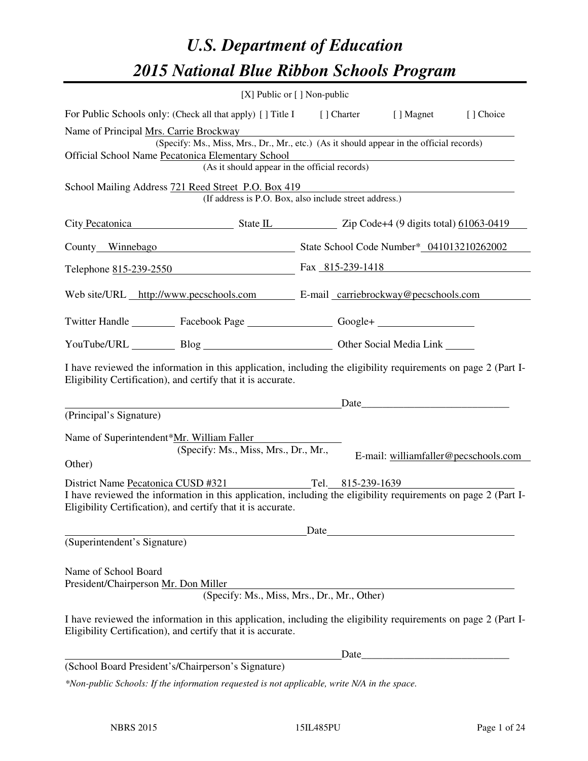# *U.S. Department of Education 2015 National Blue Ribbon Schools Program*

|                                                                                                                                                                                                                                          | [X] Public or [] Non-public                                                                                                                                                    |      |  |                                                                                                                                                                                                                               |                                      |  |  |
|------------------------------------------------------------------------------------------------------------------------------------------------------------------------------------------------------------------------------------------|--------------------------------------------------------------------------------------------------------------------------------------------------------------------------------|------|--|-------------------------------------------------------------------------------------------------------------------------------------------------------------------------------------------------------------------------------|--------------------------------------|--|--|
|                                                                                                                                                                                                                                          | For Public Schools only: (Check all that apply) [] Title I [] Charter [] Magnet                                                                                                |      |  |                                                                                                                                                                                                                               | [] Choice                            |  |  |
| Name of Principal Mrs. Carrie Brockway<br>(Specify: Ms., Miss, Mrs., Dr., Mr., etc.) (As it should appear in the official records)<br>Official School Name Pecatonica Elementary School<br>(As it should appear in the official records) |                                                                                                                                                                                |      |  |                                                                                                                                                                                                                               |                                      |  |  |
| School Mailing Address 721 Reed Street P.O. Box 419<br>(If address is P.O. Box, also include street address.)                                                                                                                            |                                                                                                                                                                                |      |  |                                                                                                                                                                                                                               |                                      |  |  |
|                                                                                                                                                                                                                                          | City Pecatonica State IL Zip Code+4 (9 digits total) 61063-0419                                                                                                                |      |  |                                                                                                                                                                                                                               |                                      |  |  |
|                                                                                                                                                                                                                                          | County_Winnebago State School Code Number* 041013210262002                                                                                                                     |      |  |                                                                                                                                                                                                                               |                                      |  |  |
|                                                                                                                                                                                                                                          | Telephone 815-239-2550 Fax 815-239-1418                                                                                                                                        |      |  |                                                                                                                                                                                                                               |                                      |  |  |
|                                                                                                                                                                                                                                          | Web site/URL http://www.pecschools.com E-mail carriebrockway@pecschools.com                                                                                                    |      |  |                                                                                                                                                                                                                               |                                      |  |  |
|                                                                                                                                                                                                                                          | Twitter Handle ___________ Facebook Page ___________________ Google+ ____________                                                                                              |      |  |                                                                                                                                                                                                                               |                                      |  |  |
|                                                                                                                                                                                                                                          | YouTube/URL Blog Blog Cher Social Media Link                                                                                                                                   |      |  |                                                                                                                                                                                                                               |                                      |  |  |
|                                                                                                                                                                                                                                          | I have reviewed the information in this application, including the eligibility requirements on page 2 (Part I-<br>Eligibility Certification), and certify that it is accurate. |      |  |                                                                                                                                                                                                                               |                                      |  |  |
| (Principal's Signature)                                                                                                                                                                                                                  |                                                                                                                                                                                |      |  | Date experience and the set of the set of the set of the set of the set of the set of the set of the set of the set of the set of the set of the set of the set of the set of the set of the set of the set of the set of the |                                      |  |  |
| Name of Superintendent*Mr. William Faller<br>Other)                                                                                                                                                                                      | (Specify: Ms., Miss, Mrs., Dr., Mr.,                                                                                                                                           |      |  |                                                                                                                                                                                                                               | E-mail: williamfaller@pecschools.com |  |  |
|                                                                                                                                                                                                                                          | District Name Pecatonica CUSD #321 Tel. 815-239-1639<br>I have reviewed the information in this application, including the eligibility requirements on page 2 (Part I-         |      |  |                                                                                                                                                                                                                               |                                      |  |  |
|                                                                                                                                                                                                                                          | Eligibility Certification), and certify that it is accurate.                                                                                                                   |      |  |                                                                                                                                                                                                                               |                                      |  |  |
| (Superintendent's Signature)                                                                                                                                                                                                             |                                                                                                                                                                                | Date |  |                                                                                                                                                                                                                               |                                      |  |  |
| Name of School Board<br>President/Chairperson Mr. Don Miller                                                                                                                                                                             | (Specify: Ms., Miss, Mrs., Dr., Mr., Other)                                                                                                                                    |      |  |                                                                                                                                                                                                                               |                                      |  |  |
|                                                                                                                                                                                                                                          | I have reviewed the information in this application, including the eligibility requirements on page 2 (Part I-<br>Eligibility Certification), and certify that it is accurate. |      |  |                                                                                                                                                                                                                               |                                      |  |  |
|                                                                                                                                                                                                                                          |                                                                                                                                                                                |      |  |                                                                                                                                                                                                                               |                                      |  |  |
|                                                                                                                                                                                                                                          | (School Board President's/Chairperson's Signature)                                                                                                                             |      |  |                                                                                                                                                                                                                               |                                      |  |  |
|                                                                                                                                                                                                                                          | *Non-public Schools: If the information requested is not applicable, write N/A in the space.                                                                                   |      |  |                                                                                                                                                                                                                               |                                      |  |  |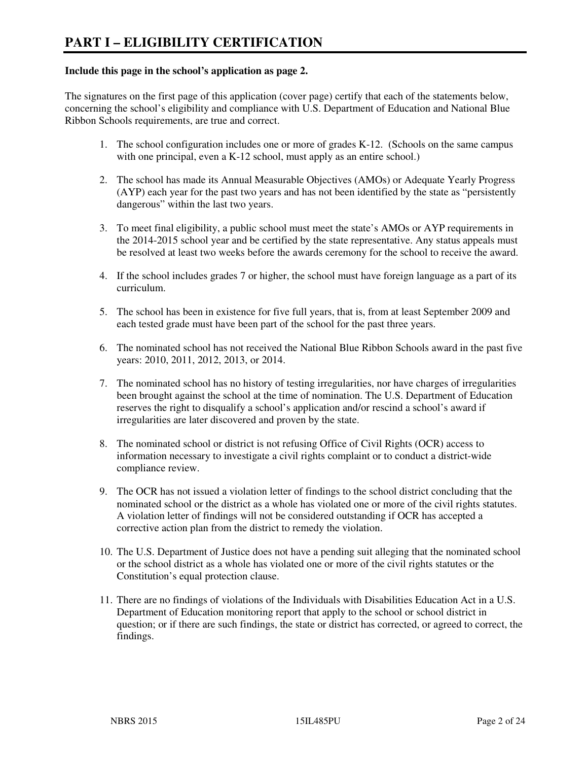#### **Include this page in the school's application as page 2.**

The signatures on the first page of this application (cover page) certify that each of the statements below, concerning the school's eligibility and compliance with U.S. Department of Education and National Blue Ribbon Schools requirements, are true and correct.

- 1. The school configuration includes one or more of grades K-12. (Schools on the same campus with one principal, even a K-12 school, must apply as an entire school.)
- 2. The school has made its Annual Measurable Objectives (AMOs) or Adequate Yearly Progress (AYP) each year for the past two years and has not been identified by the state as "persistently dangerous" within the last two years.
- 3. To meet final eligibility, a public school must meet the state's AMOs or AYP requirements in the 2014-2015 school year and be certified by the state representative. Any status appeals must be resolved at least two weeks before the awards ceremony for the school to receive the award.
- 4. If the school includes grades 7 or higher, the school must have foreign language as a part of its curriculum.
- 5. The school has been in existence for five full years, that is, from at least September 2009 and each tested grade must have been part of the school for the past three years.
- 6. The nominated school has not received the National Blue Ribbon Schools award in the past five years: 2010, 2011, 2012, 2013, or 2014.
- 7. The nominated school has no history of testing irregularities, nor have charges of irregularities been brought against the school at the time of nomination. The U.S. Department of Education reserves the right to disqualify a school's application and/or rescind a school's award if irregularities are later discovered and proven by the state.
- 8. The nominated school or district is not refusing Office of Civil Rights (OCR) access to information necessary to investigate a civil rights complaint or to conduct a district-wide compliance review.
- 9. The OCR has not issued a violation letter of findings to the school district concluding that the nominated school or the district as a whole has violated one or more of the civil rights statutes. A violation letter of findings will not be considered outstanding if OCR has accepted a corrective action plan from the district to remedy the violation.
- 10. The U.S. Department of Justice does not have a pending suit alleging that the nominated school or the school district as a whole has violated one or more of the civil rights statutes or the Constitution's equal protection clause.
- 11. There are no findings of violations of the Individuals with Disabilities Education Act in a U.S. Department of Education monitoring report that apply to the school or school district in question; or if there are such findings, the state or district has corrected, or agreed to correct, the findings.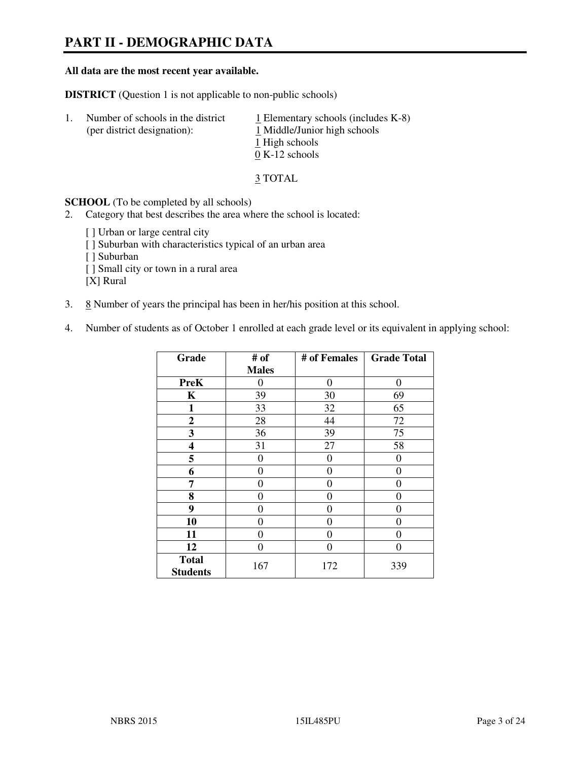# **PART II - DEMOGRAPHIC DATA**

#### **All data are the most recent year available.**

**DISTRICT** (Question 1 is not applicable to non-public schools)

| $\perp$ | Number of schools in the district<br>(per district designation): | $\perp$ Elementary schools (includes K-8)<br>1 Middle/Junior high schools<br>1 High schools<br>$0 K-12$ schools |
|---------|------------------------------------------------------------------|-----------------------------------------------------------------------------------------------------------------|
|         |                                                                  |                                                                                                                 |

3 TOTAL

**SCHOOL** (To be completed by all schools)

2. Category that best describes the area where the school is located:

[ ] Urban or large central city [ ] Suburban with characteristics typical of an urban area [ ] Suburban [ ] Small city or town in a rural area [X] Rural

- 3.  $8$  Number of years the principal has been in her/his position at this school.
- 4. Number of students as of October 1 enrolled at each grade level or its equivalent in applying school:

| Grade                           | # of         | # of Females     | <b>Grade Total</b> |
|---------------------------------|--------------|------------------|--------------------|
|                                 | <b>Males</b> |                  |                    |
| <b>PreK</b>                     | 0            | $\boldsymbol{0}$ | $\theta$           |
| K                               | 39           | 30               | 69                 |
| 1                               | 33           | 32               | 65                 |
| $\boldsymbol{2}$                | 28           | 44               | 72                 |
| 3                               | 36           | 39               | 75                 |
| 4                               | 31           | 27               | 58                 |
| 5                               | 0            | $\theta$         | $\theta$           |
| 6                               | 0            | 0                | 0                  |
| 7                               | 0            | $\overline{0}$   | 0                  |
| 8                               | 0            | 0                | 0                  |
| 9                               | $\theta$     | 0                | 0                  |
| 10                              | 0            | 0                | 0                  |
| 11                              | 0            | 0                | $\theta$           |
| 12                              | 0            | 0                | 0                  |
| <b>Total</b><br><b>Students</b> | 167          | 172              | 339                |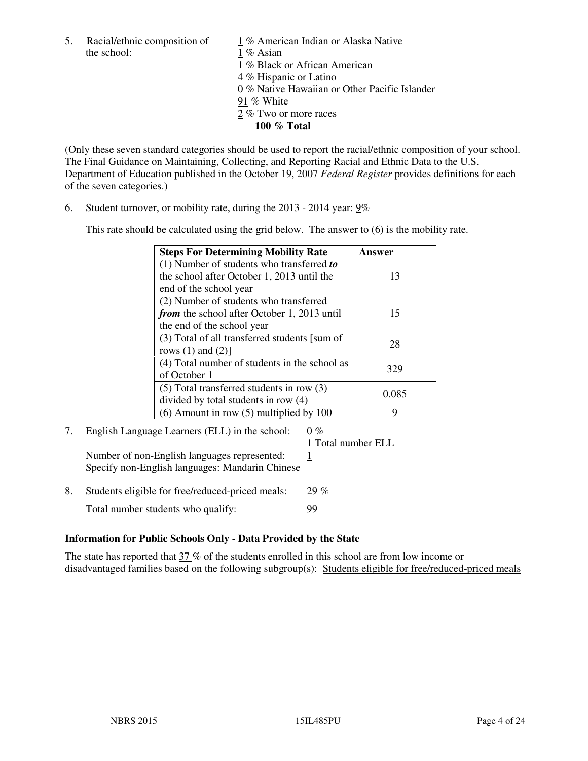the school: 1 % Asian

5. Racial/ethnic composition of  $1\%$  American Indian or Alaska Native

1 % Black or African American

4 % Hispanic or Latino

0 % Native Hawaiian or Other Pacific Islander

- 91 % White
- 2 % Two or more races

**100 % Total** 

(Only these seven standard categories should be used to report the racial/ethnic composition of your school. The Final Guidance on Maintaining, Collecting, and Reporting Racial and Ethnic Data to the U.S. Department of Education published in the October 19, 2007 *Federal Register* provides definitions for each of the seven categories.)

6. Student turnover, or mobility rate, during the 2013 - 2014 year: 9%

This rate should be calculated using the grid below. The answer to (6) is the mobility rate.

| <b>Steps For Determining Mobility Rate</b>         | Answer |
|----------------------------------------------------|--------|
| $(1)$ Number of students who transferred to        |        |
| the school after October 1, 2013 until the         | 13     |
| end of the school year                             |        |
| (2) Number of students who transferred             |        |
| <i>from</i> the school after October 1, 2013 until | 15     |
| the end of the school year                         |        |
| (3) Total of all transferred students [sum of      | 28     |
| rows $(1)$ and $(2)$ ]                             |        |
| (4) Total number of students in the school as      | 329    |
| of October 1                                       |        |
| $(5)$ Total transferred students in row $(3)$      |        |
| divided by total students in row (4)               | 0.085  |
| $(6)$ Amount in row $(5)$ multiplied by 100        | Q      |

# 7. English Language Learners (ELL) in the school:  $0\%$

1 Total number ELL

Number of non-English languages represented: 1 Specify non-English languages: Mandarin Chinese

8. Students eligible for free/reduced-priced meals: 29 % Total number students who qualify: 99

# **Information for Public Schools Only - Data Provided by the State**

The state has reported that  $37\%$  of the students enrolled in this school are from low income or disadvantaged families based on the following subgroup(s): Students eligible for free/reduced-priced meals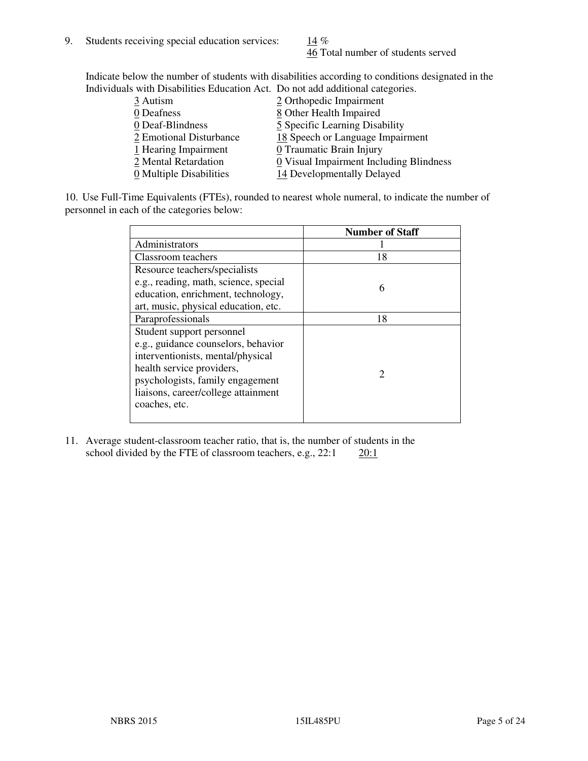46 Total number of students served

Indicate below the number of students with disabilities according to conditions designated in the Individuals with Disabilities Education Act. Do not add additional categories.

| <u>marritano with Disachitity Buatanon ritti Do not auu auunchai talegorito.</u> |                                         |
|----------------------------------------------------------------------------------|-----------------------------------------|
| 3 Autism                                                                         | 2 Orthopedic Impairment                 |
| 0 Deafness                                                                       | 8 Other Health Impaired                 |
| 0 Deaf-Blindness                                                                 | 5 Specific Learning Disability          |
| 2 Emotional Disturbance                                                          | 18 Speech or Language Impairment        |
| 1 Hearing Impairment                                                             | 0 Traumatic Brain Injury                |
| 2 Mental Retardation                                                             | 0 Visual Impairment Including Blindness |
| 0 Multiple Disabilities                                                          | 14 Developmentally Delayed              |
|                                                                                  |                                         |

10. Use Full-Time Equivalents (FTEs), rounded to nearest whole numeral, to indicate the number of personnel in each of the categories below:

|                                       | <b>Number of Staff</b>      |
|---------------------------------------|-----------------------------|
| Administrators                        |                             |
| Classroom teachers                    | 18                          |
| Resource teachers/specialists         |                             |
| e.g., reading, math, science, special | 6                           |
| education, enrichment, technology,    |                             |
| art, music, physical education, etc.  |                             |
| Paraprofessionals                     | 18                          |
| Student support personnel             |                             |
| e.g., guidance counselors, behavior   |                             |
| interventionists, mental/physical     |                             |
| health service providers,             | $\mathcal{D}_{\mathcal{L}}$ |
| psychologists, family engagement      |                             |
| liaisons, career/college attainment   |                             |
| coaches, etc.                         |                             |
|                                       |                             |

11. Average student-classroom teacher ratio, that is, the number of students in the school divided by the FTE of classroom teachers, e.g.,  $22:1$   $20:1$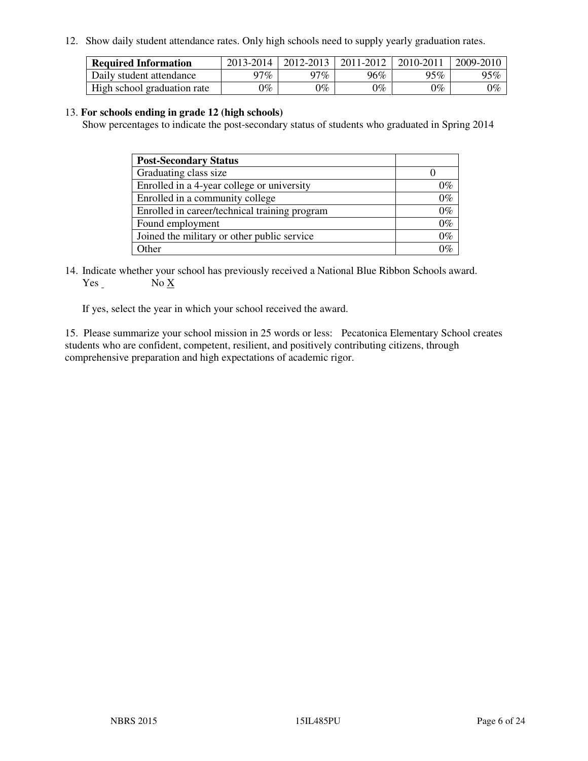12. Show daily student attendance rates. Only high schools need to supply yearly graduation rates.

| <b>Required Information</b> | 2013-2014     | 2012-2013       | 2011-2012 | 2010-2011 | 2009-2010 |
|-----------------------------|---------------|-----------------|-----------|-----------|-----------|
| Daily student attendance    | 97%           | 97%             | 96%       | 95%       | 95%       |
| High school graduation rate | $\gamma_{\%}$ | $\mathcal{V}_o$ | $0\%$     | 0%        | 0%        |

#### 13. **For schools ending in grade 12 (high schools)**

Show percentages to indicate the post-secondary status of students who graduated in Spring 2014

| <b>Post-Secondary Status</b>                  |       |
|-----------------------------------------------|-------|
| Graduating class size                         |       |
| Enrolled in a 4-year college or university    | በ‰    |
| Enrolled in a community college               | $0\%$ |
| Enrolled in career/technical training program | $0\%$ |
| Found employment                              | $0\%$ |
| Joined the military or other public service   | 0%    |
| Other                                         |       |

14. Indicate whether your school has previously received a National Blue Ribbon Schools award. Yes No X

If yes, select the year in which your school received the award.

15. Please summarize your school mission in 25 words or less: Pecatonica Elementary School creates students who are confident, competent, resilient, and positively contributing citizens, through comprehensive preparation and high expectations of academic rigor.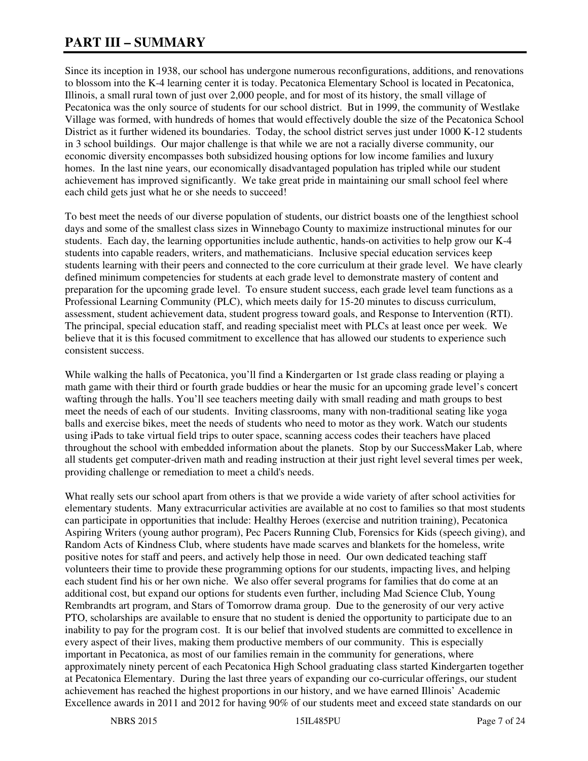# **PART III – SUMMARY**

Since its inception in 1938, our school has undergone numerous reconfigurations, additions, and renovations to blossom into the K-4 learning center it is today. Pecatonica Elementary School is located in Pecatonica, Illinois, a small rural town of just over 2,000 people, and for most of its history, the small village of Pecatonica was the only source of students for our school district. But in 1999, the community of Westlake Village was formed, with hundreds of homes that would effectively double the size of the Pecatonica School District as it further widened its boundaries. Today, the school district serves just under 1000 K-12 students in 3 school buildings. Our major challenge is that while we are not a racially diverse community, our economic diversity encompasses both subsidized housing options for low income families and luxury homes. In the last nine years, our economically disadvantaged population has tripled while our student achievement has improved significantly. We take great pride in maintaining our small school feel where each child gets just what he or she needs to succeed!

To best meet the needs of our diverse population of students, our district boasts one of the lengthiest school days and some of the smallest class sizes in Winnebago County to maximize instructional minutes for our students. Each day, the learning opportunities include authentic, hands-on activities to help grow our K-4 students into capable readers, writers, and mathematicians. Inclusive special education services keep students learning with their peers and connected to the core curriculum at their grade level. We have clearly defined minimum competencies for students at each grade level to demonstrate mastery of content and preparation for the upcoming grade level. To ensure student success, each grade level team functions as a Professional Learning Community (PLC), which meets daily for 15-20 minutes to discuss curriculum, assessment, student achievement data, student progress toward goals, and Response to Intervention (RTI). The principal, special education staff, and reading specialist meet with PLCs at least once per week. We believe that it is this focused commitment to excellence that has allowed our students to experience such consistent success.

While walking the halls of Pecatonica, you'll find a Kindergarten or 1st grade class reading or playing a math game with their third or fourth grade buddies or hear the music for an upcoming grade level's concert wafting through the halls. You'll see teachers meeting daily with small reading and math groups to best meet the needs of each of our students. Inviting classrooms, many with non-traditional seating like yoga balls and exercise bikes, meet the needs of students who need to motor as they work. Watch our students using iPads to take virtual field trips to outer space, scanning access codes their teachers have placed throughout the school with embedded information about the planets. Stop by our SuccessMaker Lab, where all students get computer-driven math and reading instruction at their just right level several times per week, providing challenge or remediation to meet a child's needs.

What really sets our school apart from others is that we provide a wide variety of after school activities for elementary students. Many extracurricular activities are available at no cost to families so that most students can participate in opportunities that include: Healthy Heroes (exercise and nutrition training), Pecatonica Aspiring Writers (young author program), Pec Pacers Running Club, Forensics for Kids (speech giving), and Random Acts of Kindness Club, where students have made scarves and blankets for the homeless, write positive notes for staff and peers, and actively help those in need. Our own dedicated teaching staff volunteers their time to provide these programming options for our students, impacting lives, and helping each student find his or her own niche. We also offer several programs for families that do come at an additional cost, but expand our options for students even further, including Mad Science Club, Young Rembrandts art program, and Stars of Tomorrow drama group. Due to the generosity of our very active PTO, scholarships are available to ensure that no student is denied the opportunity to participate due to an inability to pay for the program cost. It is our belief that involved students are committed to excellence in every aspect of their lives, making them productive members of our community. This is especially important in Pecatonica, as most of our families remain in the community for generations, where approximately ninety percent of each Pecatonica High School graduating class started Kindergarten together at Pecatonica Elementary. During the last three years of expanding our co-curricular offerings, our student achievement has reached the highest proportions in our history, and we have earned Illinois' Academic Excellence awards in 2011 and 2012 for having 90% of our students meet and exceed state standards on our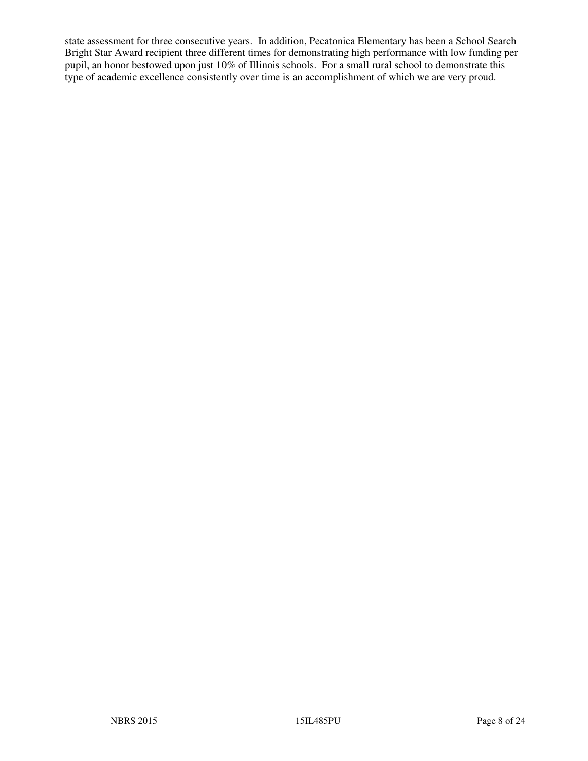state assessment for three consecutive years. In addition, Pecatonica Elementary has been a School Search Bright Star Award recipient three different times for demonstrating high performance with low funding per pupil, an honor bestowed upon just 10% of Illinois schools. For a small rural school to demonstrate this type of academic excellence consistently over time is an accomplishment of which we are very proud.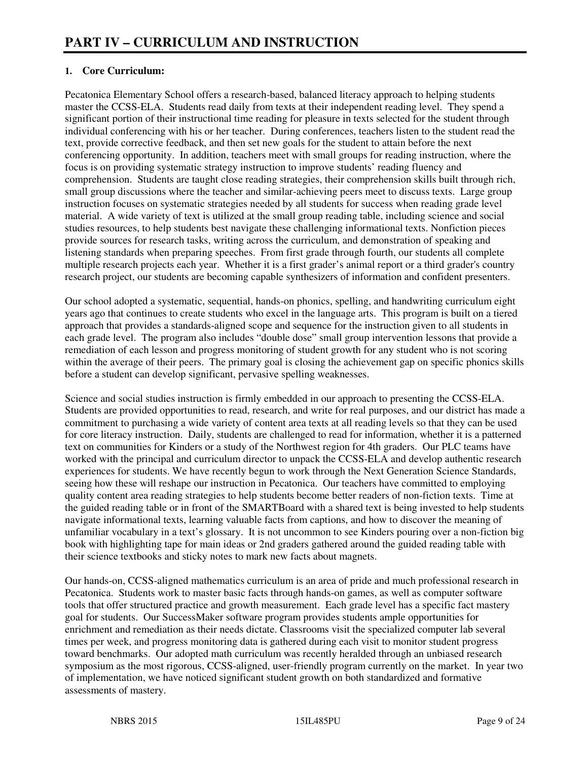## **1. Core Curriculum:**

Pecatonica Elementary School offers a research-based, balanced literacy approach to helping students master the CCSS-ELA. Students read daily from texts at their independent reading level. They spend a significant portion of their instructional time reading for pleasure in texts selected for the student through individual conferencing with his or her teacher. During conferences, teachers listen to the student read the text, provide corrective feedback, and then set new goals for the student to attain before the next conferencing opportunity. In addition, teachers meet with small groups for reading instruction, where the focus is on providing systematic strategy instruction to improve students' reading fluency and comprehension. Students are taught close reading strategies, their comprehension skills built through rich, small group discussions where the teacher and similar-achieving peers meet to discuss texts. Large group instruction focuses on systematic strategies needed by all students for success when reading grade level material. A wide variety of text is utilized at the small group reading table, including science and social studies resources, to help students best navigate these challenging informational texts. Nonfiction pieces provide sources for research tasks, writing across the curriculum, and demonstration of speaking and listening standards when preparing speeches. From first grade through fourth, our students all complete multiple research projects each year. Whether it is a first grader's animal report or a third grader's country research project, our students are becoming capable synthesizers of information and confident presenters.

Our school adopted a systematic, sequential, hands-on phonics, spelling, and handwriting curriculum eight years ago that continues to create students who excel in the language arts. This program is built on a tiered approach that provides a standards-aligned scope and sequence for the instruction given to all students in each grade level. The program also includes "double dose" small group intervention lessons that provide a remediation of each lesson and progress monitoring of student growth for any student who is not scoring within the average of their peers. The primary goal is closing the achievement gap on specific phonics skills before a student can develop significant, pervasive spelling weaknesses.

Science and social studies instruction is firmly embedded in our approach to presenting the CCSS-ELA. Students are provided opportunities to read, research, and write for real purposes, and our district has made a commitment to purchasing a wide variety of content area texts at all reading levels so that they can be used for core literacy instruction. Daily, students are challenged to read for information, whether it is a patterned text on communities for Kinders or a study of the Northwest region for 4th graders. Our PLC teams have worked with the principal and curriculum director to unpack the CCSS-ELA and develop authentic research experiences for students. We have recently begun to work through the Next Generation Science Standards, seeing how these will reshape our instruction in Pecatonica. Our teachers have committed to employing quality content area reading strategies to help students become better readers of non-fiction texts. Time at the guided reading table or in front of the SMARTBoard with a shared text is being invested to help students navigate informational texts, learning valuable facts from captions, and how to discover the meaning of unfamiliar vocabulary in a text's glossary. It is not uncommon to see Kinders pouring over a non-fiction big book with highlighting tape for main ideas or 2nd graders gathered around the guided reading table with their science textbooks and sticky notes to mark new facts about magnets.

Our hands-on, CCSS-aligned mathematics curriculum is an area of pride and much professional research in Pecatonica. Students work to master basic facts through hands-on games, as well as computer software tools that offer structured practice and growth measurement. Each grade level has a specific fact mastery goal for students. Our SuccessMaker software program provides students ample opportunities for enrichment and remediation as their needs dictate. Classrooms visit the specialized computer lab several times per week, and progress monitoring data is gathered during each visit to monitor student progress toward benchmarks. Our adopted math curriculum was recently heralded through an unbiased research symposium as the most rigorous, CCSS-aligned, user-friendly program currently on the market. In year two of implementation, we have noticed significant student growth on both standardized and formative assessments of mastery.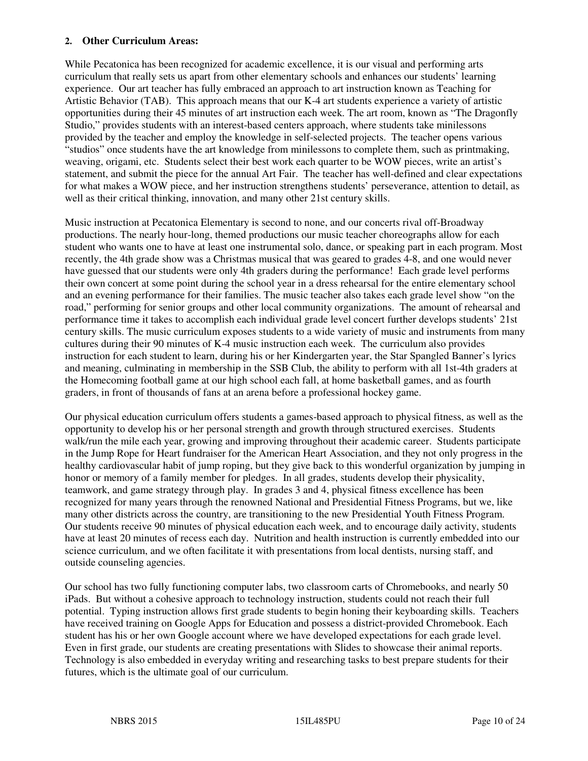#### **2. Other Curriculum Areas:**

While Pecatonica has been recognized for academic excellence, it is our visual and performing arts curriculum that really sets us apart from other elementary schools and enhances our students' learning experience. Our art teacher has fully embraced an approach to art instruction known as Teaching for Artistic Behavior (TAB). This approach means that our K-4 art students experience a variety of artistic opportunities during their 45 minutes of art instruction each week. The art room, known as "The Dragonfly Studio," provides students with an interest-based centers approach, where students take minilessons provided by the teacher and employ the knowledge in self-selected projects. The teacher opens various "studios" once students have the art knowledge from minilessons to complete them, such as printmaking, weaving, origami, etc. Students select their best work each quarter to be WOW pieces, write an artist's statement, and submit the piece for the annual Art Fair. The teacher has well-defined and clear expectations for what makes a WOW piece, and her instruction strengthens students' perseverance, attention to detail, as well as their critical thinking, innovation, and many other 21st century skills.

Music instruction at Pecatonica Elementary is second to none, and our concerts rival off-Broadway productions. The nearly hour-long, themed productions our music teacher choreographs allow for each student who wants one to have at least one instrumental solo, dance, or speaking part in each program. Most recently, the 4th grade show was a Christmas musical that was geared to grades 4-8, and one would never have guessed that our students were only 4th graders during the performance! Each grade level performs their own concert at some point during the school year in a dress rehearsal for the entire elementary school and an evening performance for their families. The music teacher also takes each grade level show "on the road," performing for senior groups and other local community organizations. The amount of rehearsal and performance time it takes to accomplish each individual grade level concert further develops students' 21st century skills. The music curriculum exposes students to a wide variety of music and instruments from many cultures during their 90 minutes of K-4 music instruction each week. The curriculum also provides instruction for each student to learn, during his or her Kindergarten year, the Star Spangled Banner's lyrics and meaning, culminating in membership in the SSB Club, the ability to perform with all 1st-4th graders at the Homecoming football game at our high school each fall, at home basketball games, and as fourth graders, in front of thousands of fans at an arena before a professional hockey game.

Our physical education curriculum offers students a games-based approach to physical fitness, as well as the opportunity to develop his or her personal strength and growth through structured exercises. Students walk/run the mile each year, growing and improving throughout their academic career. Students participate in the Jump Rope for Heart fundraiser for the American Heart Association, and they not only progress in the healthy cardiovascular habit of jump roping, but they give back to this wonderful organization by jumping in honor or memory of a family member for pledges. In all grades, students develop their physicality, teamwork, and game strategy through play. In grades 3 and 4, physical fitness excellence has been recognized for many years through the renowned National and Presidential Fitness Programs, but we, like many other districts across the country, are transitioning to the new Presidential Youth Fitness Program. Our students receive 90 minutes of physical education each week, and to encourage daily activity, students have at least 20 minutes of recess each day. Nutrition and health instruction is currently embedded into our science curriculum, and we often facilitate it with presentations from local dentists, nursing staff, and outside counseling agencies.

Our school has two fully functioning computer labs, two classroom carts of Chromebooks, and nearly 50 iPads. But without a cohesive approach to technology instruction, students could not reach their full potential. Typing instruction allows first grade students to begin honing their keyboarding skills. Teachers have received training on Google Apps for Education and possess a district-provided Chromebook. Each student has his or her own Google account where we have developed expectations for each grade level. Even in first grade, our students are creating presentations with Slides to showcase their animal reports. Technology is also embedded in everyday writing and researching tasks to best prepare students for their futures, which is the ultimate goal of our curriculum.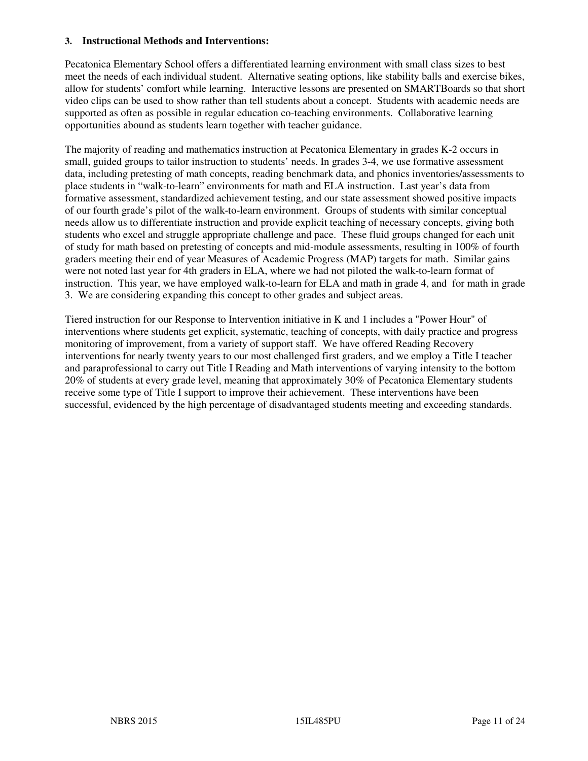#### **3. Instructional Methods and Interventions:**

Pecatonica Elementary School offers a differentiated learning environment with small class sizes to best meet the needs of each individual student. Alternative seating options, like stability balls and exercise bikes, allow for students' comfort while learning. Interactive lessons are presented on SMARTBoards so that short video clips can be used to show rather than tell students about a concept. Students with academic needs are supported as often as possible in regular education co-teaching environments. Collaborative learning opportunities abound as students learn together with teacher guidance.

The majority of reading and mathematics instruction at Pecatonica Elementary in grades K-2 occurs in small, guided groups to tailor instruction to students' needs. In grades 3-4, we use formative assessment data, including pretesting of math concepts, reading benchmark data, and phonics inventories/assessments to place students in "walk-to-learn" environments for math and ELA instruction. Last year's data from formative assessment, standardized achievement testing, and our state assessment showed positive impacts of our fourth grade's pilot of the walk-to-learn environment. Groups of students with similar conceptual needs allow us to differentiate instruction and provide explicit teaching of necessary concepts, giving both students who excel and struggle appropriate challenge and pace. These fluid groups changed for each unit of study for math based on pretesting of concepts and mid-module assessments, resulting in 100% of fourth graders meeting their end of year Measures of Academic Progress (MAP) targets for math. Similar gains were not noted last year for 4th graders in ELA, where we had not piloted the walk-to-learn format of instruction. This year, we have employed walk-to-learn for ELA and math in grade 4, and for math in grade 3. We are considering expanding this concept to other grades and subject areas.

Tiered instruction for our Response to Intervention initiative in K and 1 includes a "Power Hour" of interventions where students get explicit, systematic, teaching of concepts, with daily practice and progress monitoring of improvement, from a variety of support staff. We have offered Reading Recovery interventions for nearly twenty years to our most challenged first graders, and we employ a Title I teacher and paraprofessional to carry out Title I Reading and Math interventions of varying intensity to the bottom 20% of students at every grade level, meaning that approximately 30% of Pecatonica Elementary students receive some type of Title I support to improve their achievement. These interventions have been successful, evidenced by the high percentage of disadvantaged students meeting and exceeding standards.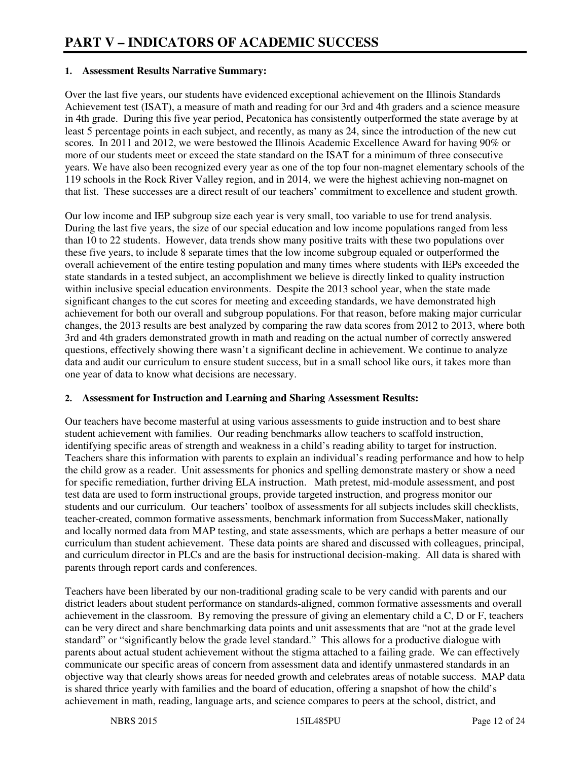#### **1. Assessment Results Narrative Summary:**

Over the last five years, our students have evidenced exceptional achievement on the Illinois Standards Achievement test (ISAT), a measure of math and reading for our 3rd and 4th graders and a science measure in 4th grade. During this five year period, Pecatonica has consistently outperformed the state average by at least 5 percentage points in each subject, and recently, as many as 24, since the introduction of the new cut scores. In 2011 and 2012, we were bestowed the Illinois Academic Excellence Award for having 90% or more of our students meet or exceed the state standard on the ISAT for a minimum of three consecutive years. We have also been recognized every year as one of the top four non-magnet elementary schools of the 119 schools in the Rock River Valley region, and in 2014, we were the highest achieving non-magnet on that list. These successes are a direct result of our teachers' commitment to excellence and student growth.

Our low income and IEP subgroup size each year is very small, too variable to use for trend analysis. During the last five years, the size of our special education and low income populations ranged from less than 10 to 22 students. However, data trends show many positive traits with these two populations over these five years, to include 8 separate times that the low income subgroup equaled or outperformed the overall achievement of the entire testing population and many times where students with IEPs exceeded the state standards in a tested subject, an accomplishment we believe is directly linked to quality instruction within inclusive special education environments. Despite the 2013 school year, when the state made significant changes to the cut scores for meeting and exceeding standards, we have demonstrated high achievement for both our overall and subgroup populations. For that reason, before making major curricular changes, the 2013 results are best analyzed by comparing the raw data scores from 2012 to 2013, where both 3rd and 4th graders demonstrated growth in math and reading on the actual number of correctly answered questions, effectively showing there wasn't a significant decline in achievement. We continue to analyze data and audit our curriculum to ensure student success, but in a small school like ours, it takes more than one year of data to know what decisions are necessary.

#### **2. Assessment for Instruction and Learning and Sharing Assessment Results:**

Our teachers have become masterful at using various assessments to guide instruction and to best share student achievement with families. Our reading benchmarks allow teachers to scaffold instruction, identifying specific areas of strength and weakness in a child's reading ability to target for instruction. Teachers share this information with parents to explain an individual's reading performance and how to help the child grow as a reader. Unit assessments for phonics and spelling demonstrate mastery or show a need for specific remediation, further driving ELA instruction. Math pretest, mid-module assessment, and post test data are used to form instructional groups, provide targeted instruction, and progress monitor our students and our curriculum. Our teachers' toolbox of assessments for all subjects includes skill checklists, teacher-created, common formative assessments, benchmark information from SuccessMaker, nationally and locally normed data from MAP testing, and state assessments, which are perhaps a better measure of our curriculum than student achievement. These data points are shared and discussed with colleagues, principal, and curriculum director in PLCs and are the basis for instructional decision-making. All data is shared with parents through report cards and conferences.

Teachers have been liberated by our non-traditional grading scale to be very candid with parents and our district leaders about student performance on standards-aligned, common formative assessments and overall achievement in the classroom. By removing the pressure of giving an elementary child a C, D or F, teachers can be very direct and share benchmarking data points and unit assessments that are "not at the grade level standard" or "significantly below the grade level standard." This allows for a productive dialogue with parents about actual student achievement without the stigma attached to a failing grade. We can effectively communicate our specific areas of concern from assessment data and identify unmastered standards in an objective way that clearly shows areas for needed growth and celebrates areas of notable success. MAP data is shared thrice yearly with families and the board of education, offering a snapshot of how the child's achievement in math, reading, language arts, and science compares to peers at the school, district, and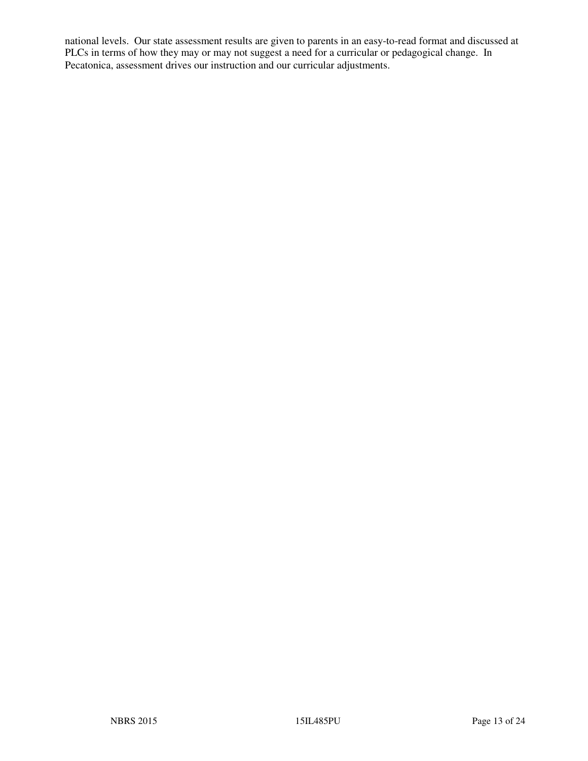national levels. Our state assessment results are given to parents in an easy-to-read format and discussed at PLCs in terms of how they may or may not suggest a need for a curricular or pedagogical change. In Pecatonica, assessment drives our instruction and our curricular adjustments.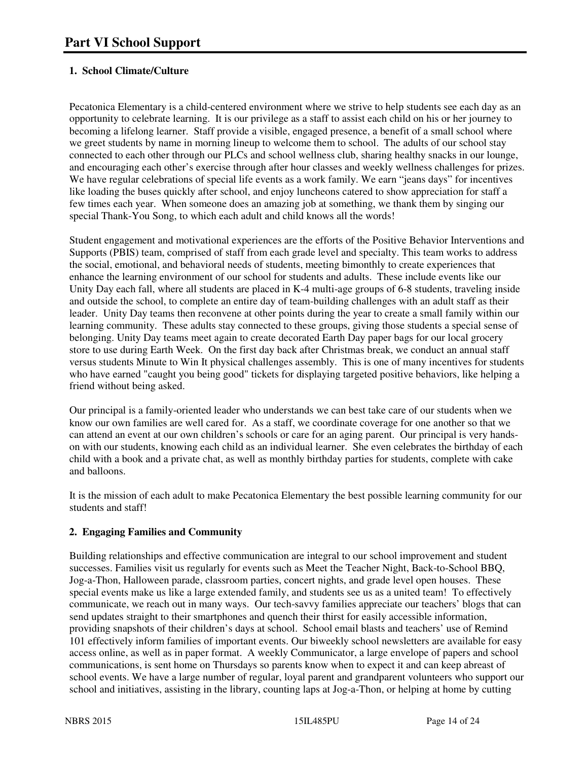# **1. School Climate/Culture**

Pecatonica Elementary is a child-centered environment where we strive to help students see each day as an opportunity to celebrate learning. It is our privilege as a staff to assist each child on his or her journey to becoming a lifelong learner. Staff provide a visible, engaged presence, a benefit of a small school where we greet students by name in morning lineup to welcome them to school. The adults of our school stay connected to each other through our PLCs and school wellness club, sharing healthy snacks in our lounge, and encouraging each other's exercise through after hour classes and weekly wellness challenges for prizes. We have regular celebrations of special life events as a work family. We earn "jeans days" for incentives like loading the buses quickly after school, and enjoy luncheons catered to show appreciation for staff a few times each year. When someone does an amazing job at something, we thank them by singing our special Thank-You Song, to which each adult and child knows all the words!

Student engagement and motivational experiences are the efforts of the Positive Behavior Interventions and Supports (PBIS) team, comprised of staff from each grade level and specialty. This team works to address the social, emotional, and behavioral needs of students, meeting bimonthly to create experiences that enhance the learning environment of our school for students and adults. These include events like our Unity Day each fall, where all students are placed in K-4 multi-age groups of 6-8 students, traveling inside and outside the school, to complete an entire day of team-building challenges with an adult staff as their leader. Unity Day teams then reconvene at other points during the year to create a small family within our learning community. These adults stay connected to these groups, giving those students a special sense of belonging. Unity Day teams meet again to create decorated Earth Day paper bags for our local grocery store to use during Earth Week. On the first day back after Christmas break, we conduct an annual staff versus students Minute to Win It physical challenges assembly. This is one of many incentives for students who have earned "caught you being good" tickets for displaying targeted positive behaviors, like helping a friend without being asked.

Our principal is a family-oriented leader who understands we can best take care of our students when we know our own families are well cared for. As a staff, we coordinate coverage for one another so that we can attend an event at our own children's schools or care for an aging parent. Our principal is very handson with our students, knowing each child as an individual learner. She even celebrates the birthday of each child with a book and a private chat, as well as monthly birthday parties for students, complete with cake and balloons.

It is the mission of each adult to make Pecatonica Elementary the best possible learning community for our students and staff!

## **2. Engaging Families and Community**

Building relationships and effective communication are integral to our school improvement and student successes. Families visit us regularly for events such as Meet the Teacher Night, Back-to-School BBQ, Jog-a-Thon, Halloween parade, classroom parties, concert nights, and grade level open houses. These special events make us like a large extended family, and students see us as a united team! To effectively communicate, we reach out in many ways. Our tech-savvy families appreciate our teachers' blogs that can send updates straight to their smartphones and quench their thirst for easily accessible information, providing snapshots of their children's days at school. School email blasts and teachers' use of Remind 101 effectively inform families of important events. Our biweekly school newsletters are available for easy access online, as well as in paper format. A weekly Communicator, a large envelope of papers and school communications, is sent home on Thursdays so parents know when to expect it and can keep abreast of school events. We have a large number of regular, loyal parent and grandparent volunteers who support our school and initiatives, assisting in the library, counting laps at Jog-a-Thon, or helping at home by cutting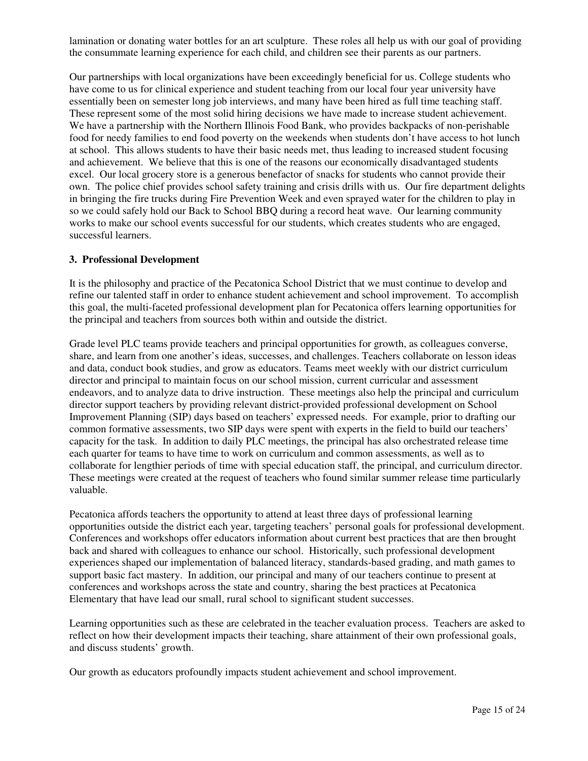lamination or donating water bottles for an art sculpture. These roles all help us with our goal of providing the consummate learning experience for each child, and children see their parents as our partners.

Our partnerships with local organizations have been exceedingly beneficial for us. College students who have come to us for clinical experience and student teaching from our local four year university have essentially been on semester long job interviews, and many have been hired as full time teaching staff. These represent some of the most solid hiring decisions we have made to increase student achievement. We have a partnership with the Northern Illinois Food Bank, who provides backpacks of non-perishable food for needy families to end food poverty on the weekends when students don't have access to hot lunch at school. This allows students to have their basic needs met, thus leading to increased student focusing and achievement. We believe that this is one of the reasons our economically disadvantaged students excel. Our local grocery store is a generous benefactor of snacks for students who cannot provide their own. The police chief provides school safety training and crisis drills with us. Our fire department delights in bringing the fire trucks during Fire Prevention Week and even sprayed water for the children to play in so we could safely hold our Back to School BBQ during a record heat wave. Our learning community works to make our school events successful for our students, which creates students who are engaged, successful learners.

#### **3. Professional Development**

It is the philosophy and practice of the Pecatonica School District that we must continue to develop and refine our talented staff in order to enhance student achievement and school improvement. To accomplish this goal, the multi-faceted professional development plan for Pecatonica offers learning opportunities for the principal and teachers from sources both within and outside the district.

Grade level PLC teams provide teachers and principal opportunities for growth, as colleagues converse, share, and learn from one another's ideas, successes, and challenges. Teachers collaborate on lesson ideas and data, conduct book studies, and grow as educators. Teams meet weekly with our district curriculum director and principal to maintain focus on our school mission, current curricular and assessment endeavors, and to analyze data to drive instruction. These meetings also help the principal and curriculum director support teachers by providing relevant district-provided professional development on School Improvement Planning (SIP) days based on teachers' expressed needs. For example, prior to drafting our common formative assessments, two SIP days were spent with experts in the field to build our teachers' capacity for the task. In addition to daily PLC meetings, the principal has also orchestrated release time each quarter for teams to have time to work on curriculum and common assessments, as well as to collaborate for lengthier periods of time with special education staff, the principal, and curriculum director. These meetings were created at the request of teachers who found similar summer release time particularly valuable.

Pecatonica affords teachers the opportunity to attend at least three days of professional learning opportunities outside the district each year, targeting teachers' personal goals for professional development. Conferences and workshops offer educators information about current best practices that are then brought back and shared with colleagues to enhance our school. Historically, such professional development experiences shaped our implementation of balanced literacy, standards-based grading, and math games to support basic fact mastery. In addition, our principal and many of our teachers continue to present at conferences and workshops across the state and country, sharing the best practices at Pecatonica Elementary that have lead our small, rural school to significant student successes.

Learning opportunities such as these are celebrated in the teacher evaluation process. Teachers are asked to reflect on how their development impacts their teaching, share attainment of their own professional goals, and discuss students' growth.

Our growth as educators profoundly impacts student achievement and school improvement.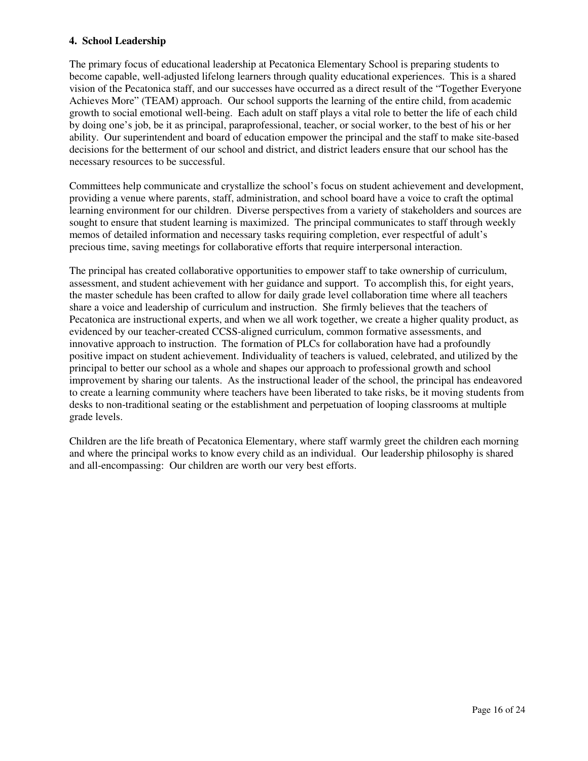#### **4. School Leadership**

The primary focus of educational leadership at Pecatonica Elementary School is preparing students to become capable, well-adjusted lifelong learners through quality educational experiences. This is a shared vision of the Pecatonica staff, and our successes have occurred as a direct result of the "Together Everyone Achieves More" (TEAM) approach. Our school supports the learning of the entire child, from academic growth to social emotional well-being. Each adult on staff plays a vital role to better the life of each child by doing one's job, be it as principal, paraprofessional, teacher, or social worker, to the best of his or her ability. Our superintendent and board of education empower the principal and the staff to make site-based decisions for the betterment of our school and district, and district leaders ensure that our school has the necessary resources to be successful.

Committees help communicate and crystallize the school's focus on student achievement and development, providing a venue where parents, staff, administration, and school board have a voice to craft the optimal learning environment for our children. Diverse perspectives from a variety of stakeholders and sources are sought to ensure that student learning is maximized. The principal communicates to staff through weekly memos of detailed information and necessary tasks requiring completion, ever respectful of adult's precious time, saving meetings for collaborative efforts that require interpersonal interaction.

The principal has created collaborative opportunities to empower staff to take ownership of curriculum, assessment, and student achievement with her guidance and support. To accomplish this, for eight years, the master schedule has been crafted to allow for daily grade level collaboration time where all teachers share a voice and leadership of curriculum and instruction. She firmly believes that the teachers of Pecatonica are instructional experts, and when we all work together, we create a higher quality product, as evidenced by our teacher-created CCSS-aligned curriculum, common formative assessments, and innovative approach to instruction. The formation of PLCs for collaboration have had a profoundly positive impact on student achievement. Individuality of teachers is valued, celebrated, and utilized by the principal to better our school as a whole and shapes our approach to professional growth and school improvement by sharing our talents. As the instructional leader of the school, the principal has endeavored to create a learning community where teachers have been liberated to take risks, be it moving students from desks to non-traditional seating or the establishment and perpetuation of looping classrooms at multiple grade levels.

Children are the life breath of Pecatonica Elementary, where staff warmly greet the children each morning and where the principal works to know every child as an individual. Our leadership philosophy is shared and all-encompassing: Our children are worth our very best efforts.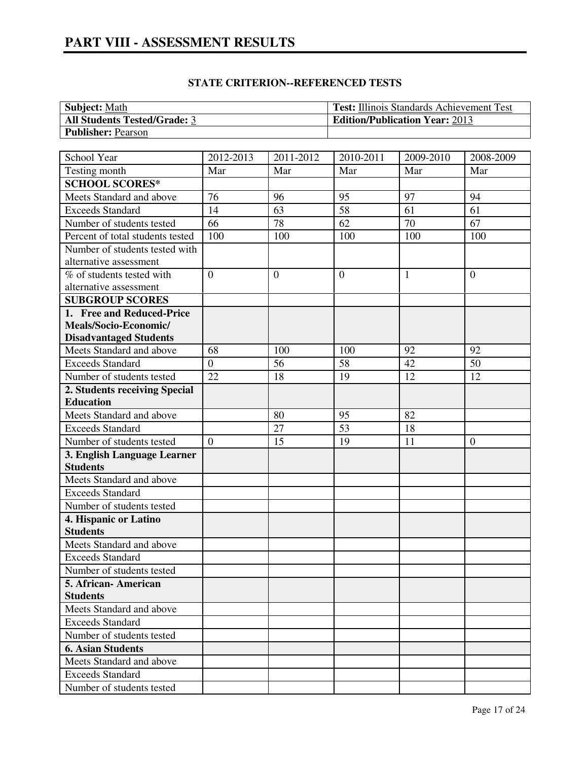| <b>Subject:</b> Math                | <b>Test:</b> Illinois Standards Achievement Test |
|-------------------------------------|--------------------------------------------------|
| <b>All Students Tested/Grade: 3</b> | <b>Edition/Publication Year: 2013</b>            |
| <b>Publisher: Pearson</b>           |                                                  |

| School Year                      | 2012-2013       | 2011-2012      | 2010-2011      | $2009 - 2010$ | 2008-2009        |
|----------------------------------|-----------------|----------------|----------------|---------------|------------------|
| Testing month                    | Mar             | Mar            | Mar            | Mar           | Mar              |
| <b>SCHOOL SCORES*</b>            |                 |                |                |               |                  |
| Meets Standard and above         | 76              | 96             | 95             | 97            | 94               |
| <b>Exceeds Standard</b>          | 14              | 63             | 58             | 61            | 61               |
| Number of students tested        | 66              | 78             | 62             | 70            | 67               |
| Percent of total students tested | 100             | 100            | 100            | 100           | 100              |
| Number of students tested with   |                 |                |                |               |                  |
| alternative assessment           |                 |                |                |               |                  |
| % of students tested with        | $\overline{0}$  | $\overline{0}$ | $\overline{0}$ | 1             | $\overline{0}$   |
| alternative assessment           |                 |                |                |               |                  |
| <b>SUBGROUP SCORES</b>           |                 |                |                |               |                  |
| 1. Free and Reduced-Price        |                 |                |                |               |                  |
| Meals/Socio-Economic/            |                 |                |                |               |                  |
| <b>Disadvantaged Students</b>    |                 |                |                |               |                  |
| Meets Standard and above         | 68              | 100            | 100            | 92            | 92               |
| <b>Exceeds Standard</b>          | $\mathbf{0}$    | 56             | 58             | 42            | 50               |
| Number of students tested        | $\overline{22}$ | 18             | 19             | 12            | 12               |
| 2. Students receiving Special    |                 |                |                |               |                  |
| <b>Education</b>                 |                 |                |                |               |                  |
| Meets Standard and above         |                 | 80             | 95             | 82            |                  |
| <b>Exceeds Standard</b>          |                 | 27             | 53             | 18            |                  |
| Number of students tested        | $\overline{0}$  | 15             | 19             | 11            | $\boldsymbol{0}$ |
| 3. English Language Learner      |                 |                |                |               |                  |
| <b>Students</b>                  |                 |                |                |               |                  |
| Meets Standard and above         |                 |                |                |               |                  |
| <b>Exceeds Standard</b>          |                 |                |                |               |                  |
| Number of students tested        |                 |                |                |               |                  |
| 4. Hispanic or Latino            |                 |                |                |               |                  |
| <b>Students</b>                  |                 |                |                |               |                  |
| Meets Standard and above         |                 |                |                |               |                  |
| <b>Exceeds Standard</b>          |                 |                |                |               |                  |
| Number of students tested        |                 |                |                |               |                  |
| 5. African-American              |                 |                |                |               |                  |
| <b>Students</b>                  |                 |                |                |               |                  |
| Meets Standard and above         |                 |                |                |               |                  |
| <b>Exceeds Standard</b>          |                 |                |                |               |                  |
| Number of students tested        |                 |                |                |               |                  |
| <b>6. Asian Students</b>         |                 |                |                |               |                  |
| Meets Standard and above         |                 |                |                |               |                  |
| <b>Exceeds Standard</b>          |                 |                |                |               |                  |
| Number of students tested        |                 |                |                |               |                  |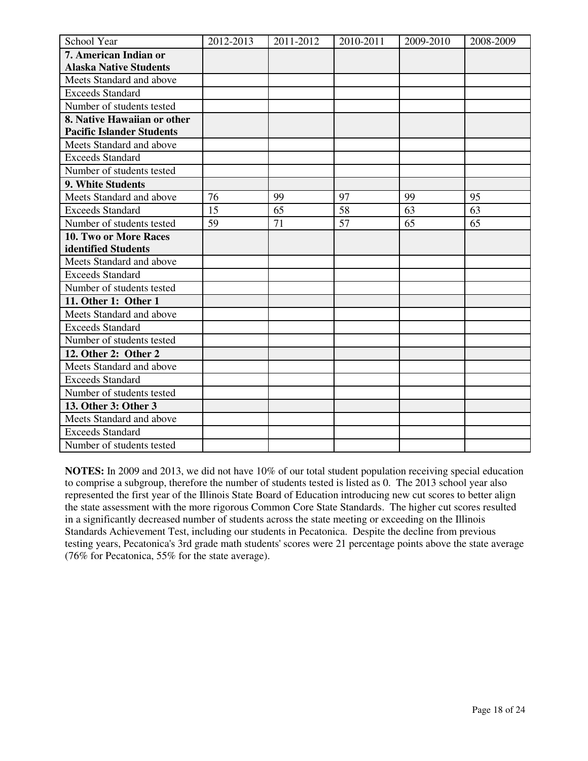| School Year                      | 2012-2013 | 2011-2012 | 2010-2011 | 2009-2010 | 2008-2009 |
|----------------------------------|-----------|-----------|-----------|-----------|-----------|
| 7. American Indian or            |           |           |           |           |           |
| <b>Alaska Native Students</b>    |           |           |           |           |           |
| Meets Standard and above         |           |           |           |           |           |
| <b>Exceeds Standard</b>          |           |           |           |           |           |
| Number of students tested        |           |           |           |           |           |
| 8. Native Hawaiian or other      |           |           |           |           |           |
| <b>Pacific Islander Students</b> |           |           |           |           |           |
| Meets Standard and above         |           |           |           |           |           |
| <b>Exceeds Standard</b>          |           |           |           |           |           |
| Number of students tested        |           |           |           |           |           |
| 9. White Students                |           |           |           |           |           |
| Meets Standard and above         | 76        | 99        | 97        | 99        | 95        |
| <b>Exceeds Standard</b>          | 15        | 65        | 58        | 63        | 63        |
| Number of students tested        | 59        | 71        | 57        | 65        | 65        |
| 10. Two or More Races            |           |           |           |           |           |
| identified Students              |           |           |           |           |           |
| Meets Standard and above         |           |           |           |           |           |
| <b>Exceeds Standard</b>          |           |           |           |           |           |
| Number of students tested        |           |           |           |           |           |
| 11. Other 1: Other 1             |           |           |           |           |           |
| Meets Standard and above         |           |           |           |           |           |
| <b>Exceeds Standard</b>          |           |           |           |           |           |
| Number of students tested        |           |           |           |           |           |
| 12. Other 2: Other 2             |           |           |           |           |           |
| Meets Standard and above         |           |           |           |           |           |
| <b>Exceeds Standard</b>          |           |           |           |           |           |
| Number of students tested        |           |           |           |           |           |
| 13. Other 3: Other 3             |           |           |           |           |           |
| Meets Standard and above         |           |           |           |           |           |
| <b>Exceeds Standard</b>          |           |           |           |           |           |
| Number of students tested        |           |           |           |           |           |

**NOTES:** In 2009 and 2013, we did not have 10% of our total student population receiving special education to comprise a subgroup, therefore the number of students tested is listed as 0. The 2013 school year also represented the first year of the Illinois State Board of Education introducing new cut scores to better align the state assessment with the more rigorous Common Core State Standards. The higher cut scores resulted in a significantly decreased number of students across the state meeting or exceeding on the Illinois Standards Achievement Test, including our students in Pecatonica. Despite the decline from previous testing years, Pecatonica's 3rd grade math students' scores were 21 percentage points above the state average (76% for Pecatonica, 55% for the state average).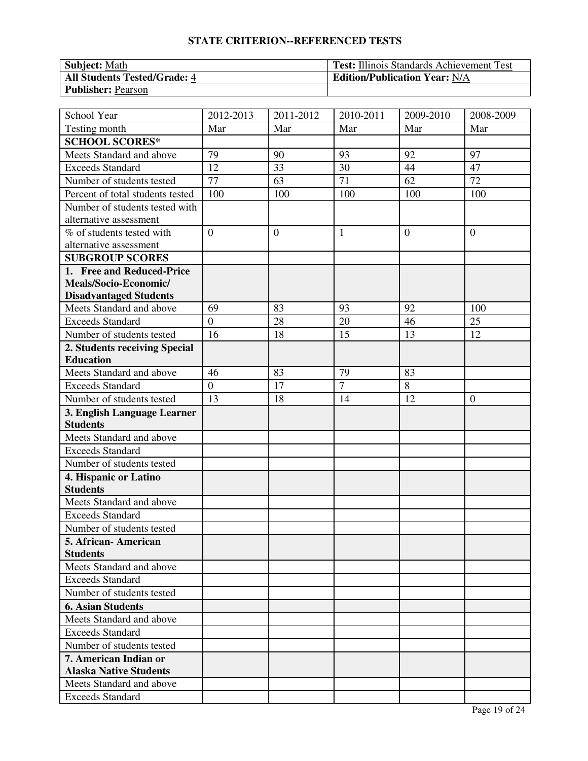# **STATE CRITERION--REFERENCED TESTS**

| <b>Subject:</b> Math                | <b>Test:</b> Illinois Standards Achievement Test |
|-------------------------------------|--------------------------------------------------|
| <b>All Students Tested/Grade: 4</b> | <b>Edition/Publication Year: N/A</b>             |
| <b>Publisher: Pearson</b>           |                                                  |

| School Year                      | 2012-2013        | 2011-2012      | 2010-2011      | 2009-2010 | 2008-2009        |
|----------------------------------|------------------|----------------|----------------|-----------|------------------|
| Testing month                    | Mar              | Mar            | Mar            | Mar       | Mar              |
| <b>SCHOOL SCORES*</b>            |                  |                |                |           |                  |
| Meets Standard and above         | 79               | 90             | 93             | 92        | 97               |
| <b>Exceeds Standard</b>          | 12               | 33             | 30             | 44        | 47               |
| Number of students tested        | 77               | 63             | 71             | 62        | 72               |
| Percent of total students tested | 100              | 100            | 100            | 100       | 100              |
| Number of students tested with   |                  |                |                |           |                  |
| alternative assessment           |                  |                |                |           |                  |
| % of students tested with        | $\overline{0}$   | $\overline{0}$ | $\mathbf{1}$   | $\theta$  | $\overline{0}$   |
| alternative assessment           |                  |                |                |           |                  |
| <b>SUBGROUP SCORES</b>           |                  |                |                |           |                  |
| 1. Free and Reduced-Price        |                  |                |                |           |                  |
| Meals/Socio-Economic/            |                  |                |                |           |                  |
| <b>Disadvantaged Students</b>    |                  |                |                |           |                  |
| Meets Standard and above         | 69               | 83             | 93             | 92        | 100              |
| <b>Exceeds Standard</b>          | $\overline{0}$   | 28             | 20             | 46        | 25               |
| Number of students tested        | 16               | 18             | 15             | 13        | 12               |
| 2. Students receiving Special    |                  |                |                |           |                  |
| <b>Education</b>                 |                  |                |                |           |                  |
| Meets Standard and above         | 46               | 83             | 79             | 83        |                  |
| <b>Exceeds Standard</b>          | $\boldsymbol{0}$ | 17             | $\overline{7}$ | $8\,$     |                  |
| Number of students tested        | 13               | 18             | 14             | 12        | $\boldsymbol{0}$ |
| 3. English Language Learner      |                  |                |                |           |                  |
| <b>Students</b>                  |                  |                |                |           |                  |
| Meets Standard and above         |                  |                |                |           |                  |
| <b>Exceeds Standard</b>          |                  |                |                |           |                  |
| Number of students tested        |                  |                |                |           |                  |
| 4. Hispanic or Latino            |                  |                |                |           |                  |
| <b>Students</b>                  |                  |                |                |           |                  |
| Meets Standard and above         |                  |                |                |           |                  |
| <b>Exceeds Standard</b>          |                  |                |                |           |                  |
| Number of students tested        |                  |                |                |           |                  |
| 5. African-American              |                  |                |                |           |                  |
| <b>Students</b>                  |                  |                |                |           |                  |
| Meets Standard and above         |                  |                |                |           |                  |
| <b>Exceeds Standard</b>          |                  |                |                |           |                  |
| Number of students tested        |                  |                |                |           |                  |
| <b>6. Asian Students</b>         |                  |                |                |           |                  |
| Meets Standard and above         |                  |                |                |           |                  |
| <b>Exceeds Standard</b>          |                  |                |                |           |                  |
| Number of students tested        |                  |                |                |           |                  |
| 7. American Indian or            |                  |                |                |           |                  |
| <b>Alaska Native Students</b>    |                  |                |                |           |                  |
| Meets Standard and above         |                  |                |                |           |                  |
| <b>Exceeds Standard</b>          |                  |                |                |           |                  |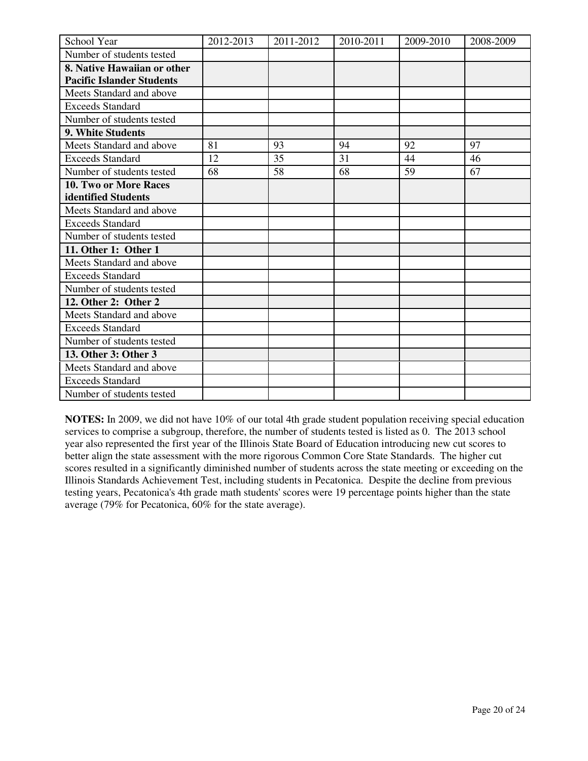| School Year                      | 2012-2013 | 2011-2012 | 2010-2011 | 2009-2010 | 2008-2009 |
|----------------------------------|-----------|-----------|-----------|-----------|-----------|
| Number of students tested        |           |           |           |           |           |
| 8. Native Hawaiian or other      |           |           |           |           |           |
| <b>Pacific Islander Students</b> |           |           |           |           |           |
| Meets Standard and above         |           |           |           |           |           |
| <b>Exceeds Standard</b>          |           |           |           |           |           |
| Number of students tested        |           |           |           |           |           |
| 9. White Students                |           |           |           |           |           |
| Meets Standard and above         | 81        | 93        | 94        | 92        | 97        |
| <b>Exceeds Standard</b>          | 12        | 35        | 31        | 44        | 46        |
| Number of students tested        | 68        | 58        | 68        | 59        | 67        |
| <b>10. Two or More Races</b>     |           |           |           |           |           |
| identified Students              |           |           |           |           |           |
| Meets Standard and above         |           |           |           |           |           |
| <b>Exceeds Standard</b>          |           |           |           |           |           |
| Number of students tested        |           |           |           |           |           |
| 11. Other 1: Other 1             |           |           |           |           |           |
| Meets Standard and above         |           |           |           |           |           |
| <b>Exceeds Standard</b>          |           |           |           |           |           |
| Number of students tested        |           |           |           |           |           |
| 12. Other 2: Other 2             |           |           |           |           |           |
| Meets Standard and above         |           |           |           |           |           |
| <b>Exceeds Standard</b>          |           |           |           |           |           |
| Number of students tested        |           |           |           |           |           |
| 13. Other 3: Other 3             |           |           |           |           |           |
| Meets Standard and above         |           |           |           |           |           |
| <b>Exceeds Standard</b>          |           |           |           |           |           |
| Number of students tested        |           |           |           |           |           |

**NOTES:** In 2009, we did not have 10% of our total 4th grade student population receiving special education services to comprise a subgroup, therefore, the number of students tested is listed as 0. The 2013 school year also represented the first year of the Illinois State Board of Education introducing new cut scores to better align the state assessment with the more rigorous Common Core State Standards. The higher cut scores resulted in a significantly diminished number of students across the state meeting or exceeding on the Illinois Standards Achievement Test, including students in Pecatonica. Despite the decline from previous testing years, Pecatonica's 4th grade math students' scores were 19 percentage points higher than the state average (79% for Pecatonica, 60% for the state average).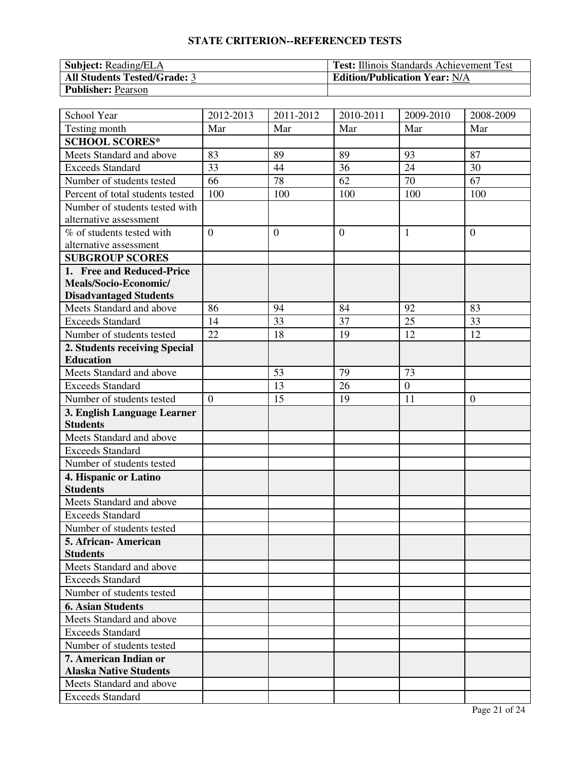# **STATE CRITERION--REFERENCED TESTS**

| <b>Subject:</b> Reading/ELA         | <b>Test:</b> Illinois Standards Achievement Test |
|-------------------------------------|--------------------------------------------------|
| <b>All Students Tested/Grade: 3</b> | <b>Edition/Publication Year: N/A</b>             |
| <b>Publisher: Pearson</b>           |                                                  |

| School Year                                            | 2012-2013      | 2011-2012      | 2010-2011      | 2009-2010    | 2008-2009      |
|--------------------------------------------------------|----------------|----------------|----------------|--------------|----------------|
| Testing month                                          | Mar            | Mar            | Mar            | Mar          | Mar            |
| <b>SCHOOL SCORES*</b>                                  |                |                |                |              |                |
| Meets Standard and above                               | 83             | 89             | 89             | 93           | 87             |
| <b>Exceeds Standard</b>                                | 33             | 44             | 36             | 24           | 30             |
| Number of students tested                              | 66             | 78             | 62             | 70           | 67             |
| Percent of total students tested                       | 100            | 100            | 100            | 100          | 100            |
| Number of students tested with                         |                |                |                |              |                |
| alternative assessment                                 |                |                |                |              |                |
| % of students tested with                              | $\overline{0}$ | $\overline{0}$ | $\overline{0}$ | $\mathbf{1}$ | $\overline{0}$ |
| alternative assessment                                 |                |                |                |              |                |
| <b>SUBGROUP SCORES</b>                                 |                |                |                |              |                |
| 1. Free and Reduced-Price                              |                |                |                |              |                |
| Meals/Socio-Economic/                                  |                |                |                |              |                |
| <b>Disadvantaged Students</b>                          |                |                |                |              |                |
| Meets Standard and above                               | 86             | 94             | 84             | 92           | 83             |
| <b>Exceeds Standard</b>                                | 14             | 33             | 37             | 25           | 33             |
| Number of students tested                              | 22             | 18             | 19             | 12           | 12             |
| 2. Students receiving Special                          |                |                |                |              |                |
| <b>Education</b>                                       |                |                |                |              |                |
| Meets Standard and above                               |                | 53             | 79             | 73           |                |
| <b>Exceeds Standard</b>                                |                | 13             | 26             | $\mathbf{0}$ |                |
| Number of students tested                              | $\overline{0}$ | 15             | 19             | 11           | $\overline{0}$ |
| 3. English Language Learner                            |                |                |                |              |                |
| <b>Students</b>                                        |                |                |                |              |                |
| Meets Standard and above                               |                |                |                |              |                |
| <b>Exceeds Standard</b>                                |                |                |                |              |                |
| Number of students tested                              |                |                |                |              |                |
| 4. Hispanic or Latino                                  |                |                |                |              |                |
| <b>Students</b>                                        |                |                |                |              |                |
| Meets Standard and above                               |                |                |                |              |                |
| <b>Exceeds Standard</b>                                |                |                |                |              |                |
| Number of students tested                              |                |                |                |              |                |
| 5. African-American                                    |                |                |                |              |                |
| <b>Students</b>                                        |                |                |                |              |                |
| Meets Standard and above                               |                |                |                |              |                |
| <b>Exceeds Standard</b>                                |                |                |                |              |                |
| Number of students tested                              |                |                |                |              |                |
| <b>6. Asian Students</b>                               |                |                |                |              |                |
| Meets Standard and above                               |                |                |                |              |                |
| <b>Exceeds Standard</b>                                |                |                |                |              |                |
| Number of students tested                              |                |                |                |              |                |
| 7. American Indian or<br><b>Alaska Native Students</b> |                |                |                |              |                |
| Meets Standard and above                               |                |                |                |              |                |
| <b>Exceeds Standard</b>                                |                |                |                |              |                |
|                                                        |                |                |                |              |                |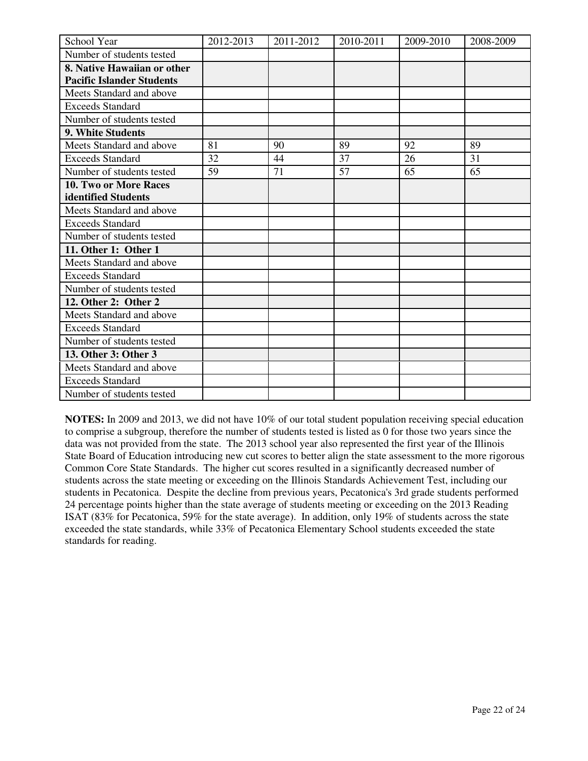| School Year                      | 2012-2013 | 2011-2012 | 2010-2011 | 2009-2010 | 2008-2009 |
|----------------------------------|-----------|-----------|-----------|-----------|-----------|
| Number of students tested        |           |           |           |           |           |
| 8. Native Hawaiian or other      |           |           |           |           |           |
| <b>Pacific Islander Students</b> |           |           |           |           |           |
| Meets Standard and above         |           |           |           |           |           |
| <b>Exceeds Standard</b>          |           |           |           |           |           |
| Number of students tested        |           |           |           |           |           |
| 9. White Students                |           |           |           |           |           |
| Meets Standard and above         | 81        | 90        | 89        | 92        | 89        |
| <b>Exceeds Standard</b>          | 32        | 44        | 37        | 26        | 31        |
| Number of students tested        | 59        | 71        | 57        | 65        | 65        |
| 10. Two or More Races            |           |           |           |           |           |
| identified Students              |           |           |           |           |           |
| Meets Standard and above         |           |           |           |           |           |
| <b>Exceeds Standard</b>          |           |           |           |           |           |
| Number of students tested        |           |           |           |           |           |
| 11. Other 1: Other 1             |           |           |           |           |           |
| Meets Standard and above         |           |           |           |           |           |
| Exceeds Standard                 |           |           |           |           |           |
| Number of students tested        |           |           |           |           |           |
| 12. Other 2: Other 2             |           |           |           |           |           |
| Meets Standard and above         |           |           |           |           |           |
| <b>Exceeds Standard</b>          |           |           |           |           |           |
| Number of students tested        |           |           |           |           |           |
| 13. Other 3: Other 3             |           |           |           |           |           |
| Meets Standard and above         |           |           |           |           |           |
| <b>Exceeds Standard</b>          |           |           |           |           |           |
| Number of students tested        |           |           |           |           |           |

**NOTES:** In 2009 and 2013, we did not have 10% of our total student population receiving special education to comprise a subgroup, therefore the number of students tested is listed as 0 for those two years since the data was not provided from the state. The 2013 school year also represented the first year of the Illinois State Board of Education introducing new cut scores to better align the state assessment to the more rigorous Common Core State Standards. The higher cut scores resulted in a significantly decreased number of students across the state meeting or exceeding on the Illinois Standards Achievement Test, including our students in Pecatonica. Despite the decline from previous years, Pecatonica's 3rd grade students performed 24 percentage points higher than the state average of students meeting or exceeding on the 2013 Reading ISAT (83% for Pecatonica, 59% for the state average). In addition, only 19% of students across the state exceeded the state standards, while 33% of Pecatonica Elementary School students exceeded the state standards for reading.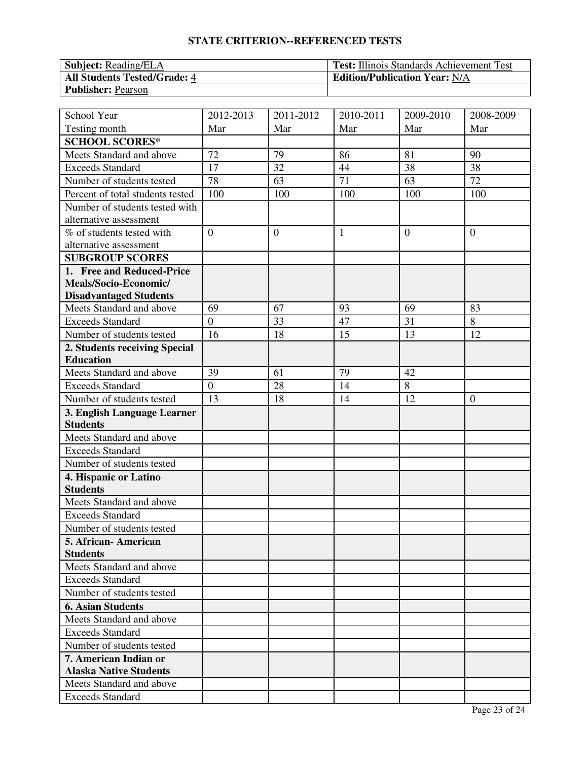# **STATE CRITERION--REFERENCED TESTS**

| <b>Subject:</b> Reading/ELA         | <b>Test:</b> Illinois Standards Achievement Test |
|-------------------------------------|--------------------------------------------------|
| <b>All Students Tested/Grade: 4</b> | <b>Edition/Publication Year: N/A</b>             |
| <b>Publisher: Pearson</b>           |                                                  |

| School Year                                    | 2012-2013      | 2011-2012      | 2010-2011    | 2009-2010      | 2008-2009      |
|------------------------------------------------|----------------|----------------|--------------|----------------|----------------|
| Testing month                                  | Mar            | Mar            | Mar          | Mar            | Mar            |
| <b>SCHOOL SCORES*</b>                          |                |                |              |                |                |
| Meets Standard and above                       | 72             | 79             | 86           | 81             | 90             |
| <b>Exceeds Standard</b>                        | 17             | 32             | 44           | 38             | 38             |
| Number of students tested                      | 78             | 63             | 71           | 63             | 72             |
| Percent of total students tested               | 100            | 100            | 100          | 100            | 100            |
| Number of students tested with                 |                |                |              |                |                |
| alternative assessment                         |                |                |              |                |                |
| % of students tested with                      | $\overline{0}$ | $\overline{0}$ | $\mathbf{1}$ | $\overline{0}$ | $\overline{0}$ |
| alternative assessment                         |                |                |              |                |                |
| <b>SUBGROUP SCORES</b>                         |                |                |              |                |                |
| 1. Free and Reduced-Price                      |                |                |              |                |                |
| Meals/Socio-Economic/                          |                |                |              |                |                |
| <b>Disadvantaged Students</b>                  |                |                |              |                |                |
| Meets Standard and above                       | 69             | 67             | 93           | 69             | 83             |
| <b>Exceeds Standard</b>                        | $\overline{0}$ | 33             | 47           | 31             | 8              |
| Number of students tested                      | 16             | 18             | 15           | 13             | 12             |
| 2. Students receiving Special                  |                |                |              |                |                |
| <b>Education</b>                               |                |                |              |                |                |
| Meets Standard and above                       | 39             | 61             | 79           | 42             |                |
| <b>Exceeds Standard</b>                        | $\overline{0}$ | 28             | 14           | 8              |                |
| Number of students tested                      | 13             | 18             | 14           | 12             | $\overline{0}$ |
| 3. English Language Learner<br><b>Students</b> |                |                |              |                |                |
| Meets Standard and above                       |                |                |              |                |                |
| <b>Exceeds Standard</b>                        |                |                |              |                |                |
| Number of students tested                      |                |                |              |                |                |
| 4. Hispanic or Latino                          |                |                |              |                |                |
| <b>Students</b>                                |                |                |              |                |                |
| Meets Standard and above                       |                |                |              |                |                |
| <b>Exceeds Standard</b>                        |                |                |              |                |                |
| Number of students tested                      |                |                |              |                |                |
| 5. African- American                           |                |                |              |                |                |
| <b>Students</b>                                |                |                |              |                |                |
| Meets Standard and above                       |                |                |              |                |                |
| <b>Exceeds Standard</b>                        |                |                |              |                |                |
| Number of students tested                      |                |                |              |                |                |
| <b>6. Asian Students</b>                       |                |                |              |                |                |
| Meets Standard and above                       |                |                |              |                |                |
| <b>Exceeds Standard</b>                        |                |                |              |                |                |
| Number of students tested                      |                |                |              |                |                |
| 7. American Indian or                          |                |                |              |                |                |
| <b>Alaska Native Students</b>                  |                |                |              |                |                |
| Meets Standard and above                       |                |                |              |                |                |
| <b>Exceeds Standard</b>                        |                |                |              |                |                |